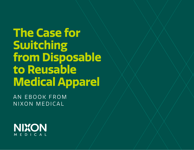**The Case for Switching from Disposable to Reusable Medical Apparel**

AN EBOOK FROM NIXON MEDICAL

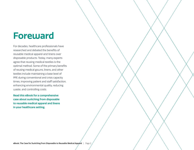### **Foreward**

For decades, healthcare professionals have researched and debated the benefits of reusable medical apparel and linens over disposable products. Today, many experts agree that reusing medical textiles is the optimal method. Some of the primary benefits of reusing medical gowns, linens, and other textiles include maintaining a base level of PPE during conventional and crisis capacity times, improving patient and staff satisfaction, enhancing environmental quality, reducing waste, and controlling costs.

**Read this eBook for a comprehensive case about switching from disposable to reusable medical apparel and linens in your healthcare setting.**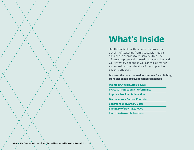## **What's Inside**

Use the contents of this eBook to learn all the benefits of switching from disposable medical apparel and supplies to reusable textiles. The information presented here will help you understand your inventory options so you can make smarter and more informed decisions for your practice, patients, and staff.

**Discover the data that makes the case for switching from disposable to reusable medical apparel:** 

#### **Maintain Critical Supply Levels**

**Increase Protection & Performance**

**Improve Provider Satisfaction**

**Decrease Your Carbon Footprint**

**Control Your Inventory Costs**

**Summary of Key Takeaways**

**Switch to Reusable Products**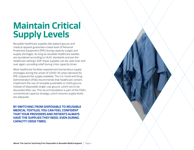### **Maintain Critical Supply Levels**

Reusable healthcare supplies like patient gowns and medical apparel guarantee a base level of Personal Protective Equipment (PPE) during capacity surges and supply shortages. As long as reusable healthcare textiles are laundered according to HLAC standards and per the healthcare setting's SOP, these supplies can be used over and over again, providing relief during crisis capacity times.

Most healthcare facilities experienced tremendous supply shortages during the onset of COVID-19 when demand for PPE outpaced the supply available. The U.S. Food and Drug Administration (FDA) recommends that healthcare centers implement the use of reusable (washable or cloth) gowns instead of disposable single-use gowns, which are to be discarded after use. This recommendation is part of the FDA's conventional capacity strategy, which ensures supply levels are adequate.

**BY SWITCHING FROM DISPOSABLE TO REUSABLE MEDICAL TEXTILES, YOU CAN FEEL CONFIDENT THAT YOUR PROVIDERS AND PATIENTS ALWAYS HAVE THE SUPPLIES THEY NEED, EVEN DURING CAPACITY CRISIS TIMES.**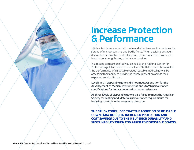#### **Increase Protection & Performance**

Medical textiles are essential to safe and effective care that reduces the spread of microorganisms and bodily fluids. When deciding between disposable or reusable medical apparel, performance and protection have to be among the key criteria you consider.

In a recent comparison study published by the National Center for Biotechnology Information as a result of COVID-19, research evaluated the performance of disposable versus reusable medical gowns by assessing their ability to provide adequate protection across their expected service lifespan.

Level I and II disposable gowns did not meet Association for the Advancement of Medical Instrumentation® (AAMI) performance specifications for impact penetration water resistance.

All three levels of disposable gowns also failed to meet the American Society for Testing and Materials performance requirements for breaking strength in the crosswise direction.

**THE STUDY CONCLUDED THAT THE ADOPTION OF REUSABLE GOWNS MAY RESULT IN INCREASED PROTECTION AND COST SAVINGS DUE TO THEIR SUPERIOR DURABILITY AND SUSTAINABILITY WHEN COMPARED TO DISPOSABLE GOWNS.**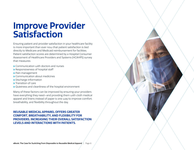#### **Improve Provider Satisfaction**

Ensuring patient and provider satisfaction in your healthcare facility is more important than ever now that patient satisfaction is tied directly to Medicare and Medicaid reimbursement for facilities. Patient satisfaction scores are determined by a Hospital Consumer Assessment of Healthcare Providers and Systems (HCAHPS) survey that measures:

- **»** Communication with doctors and nurses
- **»** Responsiveness of hospital staff
- **»** Pain management
- **»** Communication about medicines
- **»** Discharge information
- **»** Transition of care
- **»** Quietness and cleanliness of the hospital environment

Many of these factors can be improved by ensuring your providers have everything they need—and providing them with cloth medical apparel and linens instead of paper is one way to improve comfort, breathability, and flexibility throughout the day.

#### **REUSABLE MEDICAL APPAREL OFFERS GREATER COMFORT, BREATHABILITY, AND FLEXIBILITY FOR PROVIDERS, INCREASING THEIR OVERALL SATISFACTION LEVELS AND INTERACTIONS WITH PATIENTS.**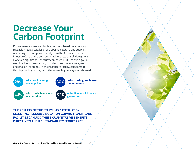### **Decrease Your Carbon Footprint**

Environmental sustainability is an obvious benefit of choosing reusable medical textiles over disposable gowns and supplies. According to a comparison study from the American Journal of Infection Control, the environmental impacts of isolation gowns alone are significant. The study compared 1,000 isolation gown uses in a healthcare setting, including their manufacture, use, and end-of-life stages. At the healthcare facility, compared to the disposable gown system, **the reusable gown system showed:**



**consumption 93% reduction in solid waste generation**

**THE RESULTS OF THE STUDY INDICATE THAT BY SELECTING REUSABLE ISOLATION GOWNS, HEALTHCARE FACILITIES CAN ADD THESE QUANTITATIVE BENEFITS DIRECTLY TO THEIR SUSTAINABILITY SCORECARDS.**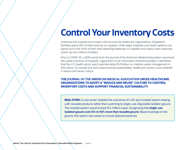### **Control Your Inventory Costs**

Inventory and supplies are a major cost incurred by healthcare organizations. Outpatient facilities spend 20% of their revenue on supplies $^{\rm l}$  while larger hospitals and health systems can spend up to one-third of their total operating expenses on supplies and supply chain expenses, which can be millions of dollars.

Prior to COVID-19, a 2020 article from the Journal of the American Medical Association examined the waste practices of hospitals, urging them to be minimized wherever possible. It identified that the U.S. health sector spent approximately \$5.9 billion on medical waste management in 2014 alone. To combat this and create financial sustainability, healthcare centers must establish a 'reduce and reuse' culture.

#### **THE** *JOURNAL OF THE AMERICAN MEDICAL ASSOCIATION* **URGES HEALTHCARE ORGANIZATIONS TO ADOPT A "REDUCE AND REUSE" CULTURE TO CONTROL INVENTORY COSTS AND SUPPORT FINANCIAL SUSTAINABILITY.**

**REAL STORY:** A case study<sup>2</sup> detailed the outcomes of a 30-plus hospital system staying with reusable products rather than switching to single-use, disposable isolation gowns. The hospital system saved at least \$1.4 million a year, recognizing that **single-use isolation gowns cost 25% to 50% more than reusable gowns**. Beyond savings on the gowns, this system also saved on annual disposal expenses.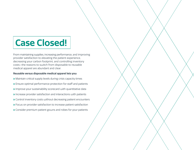# **Case Closed!**

From maintaining supplies, increasing performance, and improving provider satisfaction to elevating the patient experience, decreasing your carbon footprint, and controlling inventory costs—the reasons to switch from disposable to reusable medical apparel are abundant and clear.

#### **Reusable versus disposable medical apparel lets you:**

**»** Maintain critical supply levels during crisis capacity times **»** Ensure optimal performance protection for staff and patients **»** Improve your sustainability scorecard with quantitative data **»** Increase provider satisfaction and interactions with patients **»** Control inventory costs without decreasing patient encounters **»** Focus on provider satisfaction to increase patient satisfaction **»** Consider premium patient gowns and robes for your patients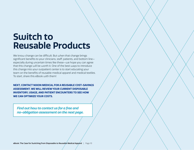### **Switch to Reusable Products**

We know change can be difficult. But when that change brings significant benefits to your clinicians, staff, patients, and bottom line especially during uncertain times like these—we hope you can agree that this change will be worth it. One of the best ways to introduce this change into your outpatient center is to start educating your team on the benefits of reusable medical apparel and medical textiles. To start, share this eBook with them!

**NEXT, CONTACT NIXON MEDICAL FOR A REUSABLE COST-SAVINGS ASSESSMENT. WE WILL REVIEW YOUR CURRENT DISPOSABLE INVENTORY, USAGE, AND PATIENT ENCOUNTERS TO SEE HOW WE CAN OPTIMIZE YOUR COSTS.**

*Find out how to contact us for a free and no-obligation assessment on the next page.* 

eBook: The Case for Switching from Disposable to Reusable Medical Apparel | Page 10